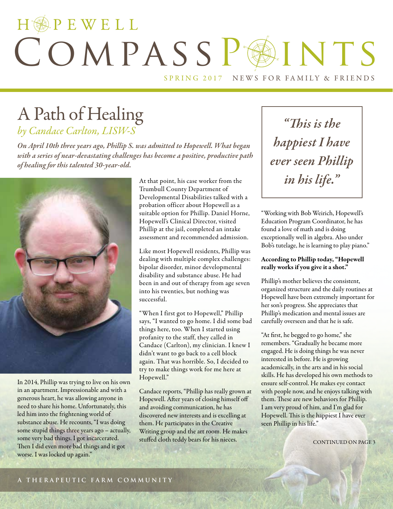# HOPEWELL COMPASSPAINTS

SPRING 2017 NEWS FOR FAMILY & FRIENDS

### A Path of Healing *by Candace Carlton, LISW-S*

*On April 10th three years ago, Phillip S. was admitted to Hopewell. What began with a series of near-devastating challenges has become a positive, productive path of healing for this talented 30-year-old.*



In 2014, Phillip was trying to live on his own in an apartment. Impressionable and with a generous heart, he was allowing anyone in need to share his home. Unfortunately, this led him into the frightening world of substance abuse. He recounts, "I was doing some stupid things three years ago – actually, some very bad things. I got incarcerated. Then I did even more bad things and it got worse. I was locked up again."

At that point, his case worker from the Trumbull County Department of Developmental Disabilities talked with a probation officer about Hopewell as a suitable option for Phillip. Daniel Horne, Hopewell's Clinical Director, visited Phillip at the jail, completed an intake assessment and recommended admission.

Like most Hopewell residents, Phillip was dealing with multiple complex challenges: bipolar disorder, minor developmental disability and substance abuse. He had been in and out of therapy from age seven into his twenties, but nothing was successful.

"When I first got to Hopewell," Phillip says, "I wanted to go home. I did some bad things here, too. When I started using profanity to the staff, they called in Candace (Carlton), my clinician. I knew I didn't want to go back to a cell block again. That was horrible. So, I decided to try to make things work for me here at Hopewell."

Candace reports, "Phillip has really grown at Hopewell. After years of closing himself off and avoiding communication, he has discovered new interests and is excelling at them. He participates in the Creative Writing group and the art room. He makes stuffed cloth teddy bears for his nieces.

*"This is the happiest I have ever seen Phillip in his life."*

"Working with Bob Weirich, Hopewell's Education Program Coordinator, he has found a love of math and is doing exceptionally well in algebra. Also under Bob's tutelage, he is learning to play piano."

#### According to Phillip today, "Hopewell really works if you give it a shot."

Phillip's mother believes the consistent, organized structure and the daily routines at Hopewell have been extremely important for her son's progress. She appreciates that Phillip's medication and mental issues are carefully overseen and that he is safe.

"At first, he begged to go home," she remembers. "Gradually he became more engaged. He is doing things he was never interested in before. He is growing academically, in the arts and in his social skills. He has developed his own methods to ensure self-control. He makes eye contact with people now, and he enjoys talking with them. These are new behaviors for Phillip. I am very proud of him, and I'm glad for Hopewell. This is the happiest I have ever seen Phillip in his life."

CONTINUED ON PAGE 3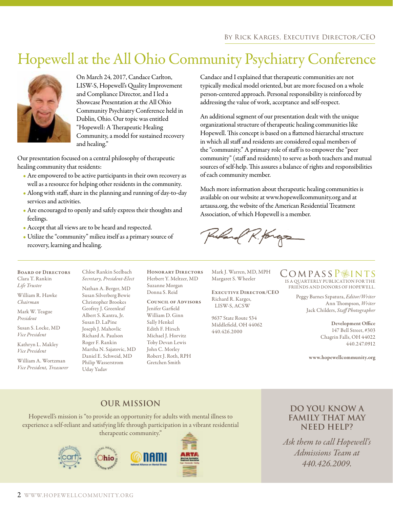# Hopewell at the All Ohio Community Psychiatry Conference



On March 24, 2017, Candace Carlton, LISW-S, Hopewell's Quality Improvement and Compliance Director, and I led a Showcase Presentation at the All Ohio Community Psychiatry Conference held in Dublin, Ohio. Our topic was entitled "Hopewell: A Therapeutic Healing Community, a model for sustained recovery and healing."

Our presentation focused on a central philosophy of therapeutic healing community that residents:

- Are empowered to be active participants in their own recovery as well as a resource for helping other residents in the community.
- Along with staff, share in the planning and running of day-to-day services and activities.
- Are encouraged to openly and safely express their thoughts and feelings.
- Accept that all views are to be heard and respected.
- Utilize the "community" milieu itself as a primary source of recovery, learning and healing.

Candace and I explained that therapeutic communities are not typically medical model oriented, but are more focused on a whole person-centered approach. Personal responsibility is reinforced by addressing the value of work, acceptance and self-respect.

An additional segment of our presentation dealt with the unique organizational structure of therapeutic healing communities like Hopewell. This concept is based on a flattened hierarchal structure in which all staff and residents are considered equal members of the "community." A primary role of staff is to empower the "peer community" (staff and residents) to serve as both teachers and mutual sources of self-help. This assures a balance of rights and responsibilities of each community member.

Much more information about therapeutic healing communities is available on our website at www.hopewellcommunity.org and at artausa.org, the website of the American Residential Treatment Association, of which Hopewell is a member.

Puland R forgs

Board of Directors Clara T. Rankin *Life Trustee*

William R. Hawke *Chairman*

Mark W. Teague *President*

Susan S. Locke, MD *Vice President*

Kathryn L. Makley *Vice President*

William A. Wortzman *Vice President, Treasurer*

Chloe Rankin Seelbach *Secretary, President-Elect*  Nathan A. Berger, MD Susan Silverberg Bewie Christopher Brookes Geofrey J. Greenleaf Albert S. Kantra, Jr. Susan D. LaPine Joseph J. Mahovlic Richard A. Paulson Roger F. Rankin Martha N. Sajatovic, MD Daniel E. Schweid, MD Philip Wasserstrom

Uday Yadav

Honorary Directors Herbert Y. Meltzer, MD Suzanne Morgan Donna S. Reid

Council of Advisors Jenifer Garfield William D. Ginn Sally Henkel Edith F. Hirsch Michael J. Horvitz Toby Devan Lewis John C. Morley Robert J. Roth, RPH Gretchen Smith

Mark J. Warren, MD, MPH Margaret S. Wheeler

Executive Director/CEO Richard R. Karges, LISW-S, ACSW

9637 State Route 534 Middlefield, OH 44062 440.426.2000

#### IS A QUARTERLY PUBLICATION FOR THE FRIENDS AND DONORS OF HOPEWELL. COMPASSP<sup>INTS</sup>

Peggy Barnes Szpatura, *Editor/Writer* Ann Thompson, *Writer*  Jack Childers, *Staff Photographer*

> Development Office 147 Bell Street, #303 Chagrin Falls, OH 44022 440.247.0912

www.hopewellcommunity.org

#### **Our Mission**

Hopewell's mission is "to provide an opportunity for adults with mental illness to experience a self-reliant and satisfying life through participation in a vibrant residential therapeutic community."



#### **Do you know a family that may need help?**

*Ask them to call Hopewell's Admissions Team at 440.426.2009.*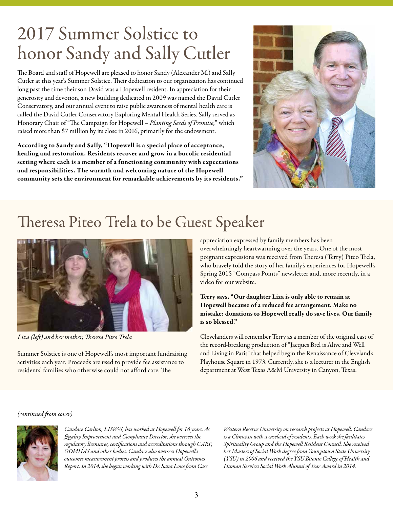# 2017 Summer Solstice to honor Sandy and Sally Cutler

The Board and staff of Hopewell are pleased to honor Sandy (Alexander M.) and Sally Cutler at this year's Summer Solstice. Their dedication to our organization has continued long past the time their son David was a Hopewell resident. In appreciation for their generosity and devotion, a new building dedicated in 2009 was named the David Cutler Conservatory, and our annual event to raise public awareness of mental health care is called the David Cutler Conservatory Exploring Mental Health Series. Sally served as Honorary Chair of "The Campaign for Hopewell – *Planting Seeds of Promise,*" which raised more than \$7 million by its close in 2016, primarily for the endowment.

According to Sandy and Sally, "Hopewell is a special place of acceptance, healing and restoration. Residents recover and grow in a bucolic residential setting where each is a member of a functioning community with expectations and responsibilities. The warmth and welcoming nature of the Hopewell community sets the environment for remarkable achievements by its residents."



# Theresa Piteo Trela to be Guest Speaker



*Liza (left) and her mother, Theresa Piteo Trela*

Summer Solstice is one of Hopewell's most important fundraising activities each year. Proceeds are used to provide fee assistance to residents' families who otherwise could not afford care. The

appreciation expressed by family members has been overwhelmingly heartwarming over the years. One of the most poignant expressions was received from Theresa (Terry) Piteo Trela, who bravely told the story of her family's experiences for Hopewell's Spring 2015 "Compass Points" newsletter and, more recently, in a video for our website.

#### Terry says, "Our daughter Liza is only able to remain at Hopewell because of a reduced fee arrangement. Make no mistake: donations to Hopewell really do save lives. Our family is so blessed."

Clevelanders will remember Terry as a member of the original cast of the record-breaking production of "Jacques Brel is Alive and Well and Living in Paris" that helped begin the Renaissance of Cleveland's Playhouse Square in 1973. Currently, she is a lecturer in the English department at West Texas A&M University in Canyon, Texas.

#### *(continued from cover)*



*Candace Carlton, LISW-S, has worked at Hopewell for 16 years. As Quality Improvement and Compliance Director, she oversees the regulatory licensures, certifications and accreditations through CARF, ODMHAS and other bodies. Candace also oversees Hopewell's outcomes measurement process and produces the annual Outcomes Report. In 2014, she began working with Dr. Sana Loue from Case* 

*Western Reserve University on research projects at Hopewell. Candace is a Clinician with a caseload of residents. Each week she facilitates Spirituality Group and the Hopewell Resident Council. She received her Masters of Social Work degree from Youngstown State University (YSU) in 2006 and received the YSU Bitonte College of Health and Human Services Social Work Alumni of Year Award in 2014.*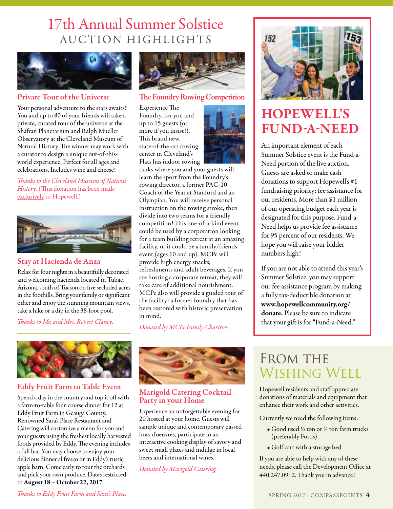### 17th Annual Summer Solstice AUCTION HIGHLIGHTS



Private Tour of the Universe

Your personal adventure to the stars awaits! You and up to 80 of your friends will take a private, curated tour of the universe at the Shafran Planetarium and Ralph Mueller Observatory at the Cleveland Museum of Natural History. The winner may work with a curator to design a unique out-of-thisworld experience. Perfect for all ages and celebrations. Includes wine and cheese!

*Thanks to the Cleveland Museum of Natural History.* (This donation has been made exclusively to Hopewell.)



#### Stay at Hacienda de Anza

Relax for four nights in a beautifully decorated and welcoming hacienda located in Tubac, Arizona, south of Tucson on five secluded acres in the foothills. Bring your family or significant other and enjoy the stunning mountain views, take a hike or a dip in the 38-foot pool.

*Thanks to Mr. and Mrs. Robert Clancy.* 



#### Eddy Fruit Farm to Table Event

Spend a day in the country and top it off with a farm-to-table four-course dinner for 12 at Eddy Fruit Farm in Geauga County. Renowned Sara's Place Restaurant and Catering will customize a menu for you and your guests using the freshest locally harvested foods provided by Eddy. The evening includes a full bar. You may choose to enjoy your delicious dinner al fresco or in Eddy's rustic apple barn. Come early to tour the orchards and pick your own produce. Dates restricted to August 18 – October 22, 2017.



#### The Foundry Rowing Competition

Experience The Foundry, for you and up to 15 guests (or more if you insist!). This brand new, state-of-the-art rowing center in Cleveland's Flats has indoor rowing



tanks where you and your guests will learn the sport from the Foundry's rowing director, a former PAC-10 Coach of the Year at Stanford and an Olympian. You will receive personal instruction on the rowing stroke, then divide into two teams for a friendly competition! This one-of-a-kind event could be used by a corporation looking for a team building retreat at an amazing facility, or it could be a family/friends event (ages 10 and up). MCPc will provide high energy snacks, refreshments and adult beverages. If you are hosting a corporate retreat, they will take care of additional nourishment. MCPc also will provide a guided tour of the facility: a former foundry that has been restored with historic preservation in mind.

*Donated by MCPc Family Charities.*



#### Marigold Catering Cocktail Party in your Home

Experience an unforgettable evening for 20 hosted at your home. Guests will sample unique and contemporary passed hors d'oeuvres, participate in an interactive cooking display of savory and sweet small plates and indulge in local beers and international wines.

*Donated by Marigold Catering.*



## **HOPEWELL'S** FUND-A-NEED

An important element of each Summer Solstice event is the Fund-a-Need portion of the live auction. Guests are asked to make cash donations to support Hopewell's #1 fundraising priority: fee assistance for our residents. More than \$1 million of our operating budget each year is designated for this purpose. Fund-a-Need helps us provide fee assistance for 95 percent of our residents. We hope you will raise your bidder numbers high!

If you are not able to attend this year's Summer Solstice, you may support our fee assistance program by making a fully tax-deductible donation at www.hopewellcommunity.org/ donate. Please be sure to indicate that your gift is for "Fund-a-Need."

### FROM THE Wishing Well

Hopewell residents and staff appreciate donations of materials and equipment that enhance their work and other activities.

Currently we need the following items:

- Good used ½ ton or ¾ ton farm trucks (preferably Fords)
- Golf cart with a storage bed

If you are able to help with any of these needs, please call the Development Office at 440.247.0912. Thank you in advance!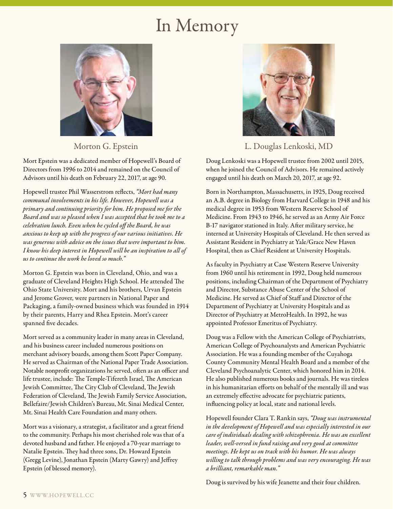# In Memory



Morton G. Epstein

Mort Epstein was a dedicated member of Hopewell's Board of Directors from 1996 to 2014 and remained on the Council of Advisors until his death on February 22, 2017, at age 90.

Hopewell trustee Phil Wasserstrom reflects, *"Mort had many communal involvements in his life. However, Hopewell was a primary and continuing priority for him. He proposed me for the Board and was so pleased when I was accepted that he took me to a celebration lunch. Even when he cycled off the Board, he was anxious to keep up with the progress of our various initiatives. He was generous with advice on the issues that were important to him. I know his deep interest in Hopewell will be an inspiration to all of us to continue the work he loved so much."*

Morton G. Epstein was born in Cleveland, Ohio, and was a graduate of Cleveland Heights High School. He attended The Ohio State University. Mort and his brothers, Urvan Epstein and Jerome Grover, were partners in National Paper and Packaging, a family-owned business which was founded in 1914 by their parents, Harry and Rhea Epstein. Mort's career spanned five decades.

Mort served as a community leader in many areas in Cleveland, and his business career included numerous positions on merchant advisory boards, among them Scott Paper Company. He served as Chairman of the National Paper Trade Association. Notable nonprofit organizations he served, often as an officer and life trustee, include: The Temple-Tifereth Israel, The American Jewish Committee, The City Club of Cleveland, The Jewish Federation of Cleveland, The Jewish Family Service Association, Bellefaire/Jewish Children's Bureau, Mt. Sinai Medical Center, Mt. Sinai Health Care Foundation and many others.

Mort was a visionary, a strategist, a facilitator and a great friend to the community. Perhaps his most cherished role was that of a devoted husband and father. He enjoyed a 70-year marriage to Natalie Epstein. They had three sons, Dr. Howard Epstein (Gregg Levine), Jonathan Epstein (Marty Gawry) and Jeffrey Epstein (of blessed memory).



L. Douglas Lenkoski, MD

Doug Lenkoski was a Hopewell trustee from 2002 until 2015, when he joined the Council of Advisors. He remained actively engaged until his death on March 20, 2017, at age 92.

Born in Northampton, Massachusetts, in 1925, Doug received an A.B. degree in Biology from Harvard College in 1948 and his medical degree in 1953 from Western Reserve School of Medicine. From 1943 to 1946, he served as an Army Air Force B-17 navigator stationed in Italy. After military service, he interned at University Hospitals of Cleveland. He then served as Assistant Resident in Psychiatry at Yale/Grace New Haven Hospital, then as Chief Resident at University Hospitals.

As faculty in Psychiatry at Case Western Reserve University from 1960 until his retirement in 1992, Doug held numerous positions, including Chairman of the Department of Psychiatry and Director, Substance Abuse Center of the School of Medicine. He served as Chief of Staff and Director of the Department of Psychiatry at University Hospitals and as Director of Psychiatry at MetroHealth. In 1992, he was appointed Professor Emeritus of Psychiatry.

Doug was a Fellow with the American College of Psychiatrists, American College of Psychoanalysts and American Psychiatric Association. He was a founding member of the Cuyahoga County Community Mental Health Board and a member of the Cleveland Psychoanalytic Center, which honored him in 2014. He also published numerous books and journals. He was tireless in his humanitarian efforts on behalf of the mentally ill and was an extremely effective advocate for psychiatric patients, influencing policy at local, state and national levels.

Hopewell founder Clara T. Rankin says, *"Doug was instrumental in the development of Hopewell and was especially interested in our care of individuals dealing with schizophrenia. He was an excellent leader, well-versed in fund raising and very good at committee meetings. He kept us on track with his humor. He was always willing to talk through problems and was very encouraging. He was a brilliant, remarkable man."*

Doug is survived by his wife Jeanette and their four children.